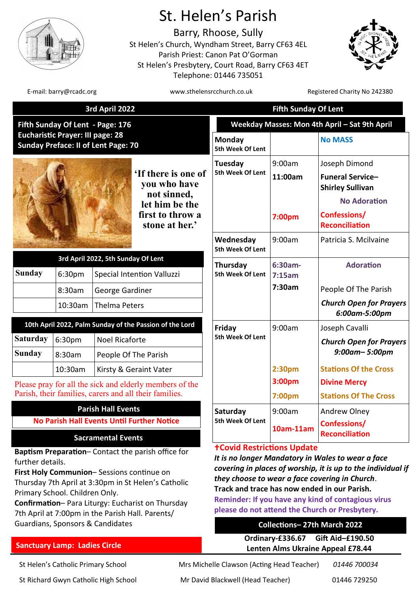

# St. Helen's Parish

Barry, Rhoose, Sully St Helen's Church, Wyndham Street, Barry CF63 4EL Parish Priest: Canon Pat O'Gorman St Helen's Presbytery, Court Road, Barry CF63 4ET Telephone: 01446 735051



E-mail: barry@rcadc.org entitled to the www.sthelensrcchurch.co.uk Registered Charity No 242380

| 3rd April 2022                                                                                                                                                                                                                                                                                                                                          |                             |                                                                                                             |                                                                                                            | <b>Fifth Sunday Of Lent</b>                                                                                                                                                                                                                                                                                                                                                                                   |                             |                                                                                                                                     |
|---------------------------------------------------------------------------------------------------------------------------------------------------------------------------------------------------------------------------------------------------------------------------------------------------------------------------------------------------------|-----------------------------|-------------------------------------------------------------------------------------------------------------|------------------------------------------------------------------------------------------------------------|---------------------------------------------------------------------------------------------------------------------------------------------------------------------------------------------------------------------------------------------------------------------------------------------------------------------------------------------------------------------------------------------------------------|-----------------------------|-------------------------------------------------------------------------------------------------------------------------------------|
| Fifth Sunday Of Lent - Page: 176<br><b>Eucharistic Prayer: III page: 28</b><br><b>Sunday Preface: II of Lent Page: 70</b>                                                                                                                                                                                                                               |                             |                                                                                                             |                                                                                                            | Weekday Masses: Mon 4th April - Sat 9th April                                                                                                                                                                                                                                                                                                                                                                 |                             |                                                                                                                                     |
|                                                                                                                                                                                                                                                                                                                                                         |                             |                                                                                                             |                                                                                                            | Monday<br>5th Week Of Lent                                                                                                                                                                                                                                                                                                                                                                                    |                             | <b>No MASS</b>                                                                                                                      |
|                                                                                                                                                                                                                                                                                                                                                         |                             |                                                                                                             | 'If there is one of<br>you who have<br>not sinned,<br>let him be the<br>first to throw a<br>stone at her.' | Tuesday<br>5th Week Of Lent                                                                                                                                                                                                                                                                                                                                                                                   | 9:00am<br>11:00am<br>7:00pm | Joseph Dimond<br><b>Funeral Service-</b><br><b>Shirley Sullivan</b><br><b>No Adoration</b><br>Confessions/<br><b>Reconciliation</b> |
|                                                                                                                                                                                                                                                                                                                                                         |                             |                                                                                                             |                                                                                                            | Wednesday<br>5th Week Of Lent                                                                                                                                                                                                                                                                                                                                                                                 | 9:00am                      | Patricia S. Mcilvaine                                                                                                               |
| <b>Sunday</b>                                                                                                                                                                                                                                                                                                                                           | 6:30pm<br>8:30am<br>10:30am | 3rd April 2022, 5th Sunday Of Lent<br>Special Intention Valluzzi<br>George Gardiner<br><b>Thelma Peters</b> |                                                                                                            | Thursday<br>5th Week Of Lent                                                                                                                                                                                                                                                                                                                                                                                  | 6:30am-<br>7:15am<br>7:30am | <b>Adoration</b><br>People Of The Parish<br><b>Church Open for Prayers</b><br>6:00am-5:00pm                                         |
| <b>Saturday</b><br><b>Sunday</b>                                                                                                                                                                                                                                                                                                                        | 6:30pm<br>8:30am            | <b>Noel Ricaforte</b>                                                                                       | 10th April 2022, Palm Sunday of the Passion of the Lord<br>People Of The Parish                            | Friday<br>5th Week Of Lent                                                                                                                                                                                                                                                                                                                                                                                    | 9:00am                      | Joseph Cavalli<br><b>Church Open for Prayers</b><br>$9:00$ am- $5:00$ pm                                                            |
| 10:30am<br>Kirsty & Geraint Vater<br>Please pray for all the sick and elderly members of the<br>Parish, their families, carers and all their families.                                                                                                                                                                                                  |                             |                                                                                                             |                                                                                                            |                                                                                                                                                                                                                                                                                                                                                                                                               | 2:30pm<br>3:00pm<br>7:00pm  | <b>Stations Of the Cross</b><br><b>Divine Mercy</b><br><b>Stations Of The Cross</b>                                                 |
| <b>Parish Hall Events</b><br><b>No Parish Hall Events Until Further Notice</b><br><b>Sacramental Events</b>                                                                                                                                                                                                                                             |                             |                                                                                                             |                                                                                                            | Saturday<br>5th Week Of Lent                                                                                                                                                                                                                                                                                                                                                                                  | 9:00am<br>10am-11am         | Andrew Olney<br>Confessions/<br><b>Reconciliation</b>                                                                               |
| Baptism Preparation-Contact the parish office for<br>further details.<br>First Holy Communion-Sessions continue on<br>Thursday 7th April at 3:30pm in St Helen's Catholic<br>Primary School. Children Only.<br>Confirmation-Para Liturgy: Eucharist on Thursday<br>7th April at 7:00pm in the Parish Hall. Parents/<br>Guardians, Sponsors & Candidates |                             |                                                                                                             |                                                                                                            | <b>+Covid Restrictions Update</b><br>It is no longer Mandatory in Wales to wear a face<br>covering in places of worship, it is up to the individual if<br>they choose to wear a face covering in Church.<br>Track and trace has now ended in our Parish.<br><b>Reminder: If you have any kind of contagious virus</b><br>please do not attend the Church or Presbytery.<br><b>Collections-27th March 2022</b> |                             |                                                                                                                                     |

# **Sanctuary Lamp: Ladies Circle**

St Richard Gwyn Catholic High School Mr David Blackwell (Head Teacher) 01446 729250

St Helen's Catholic Primary School Mrs Michelle Clawson (Acting Head Teacher) *01446 700034*

**Ordinary-£336.67 Gift Aid–£190.50 Lenten Alms Ukraine Appeal £78.44**